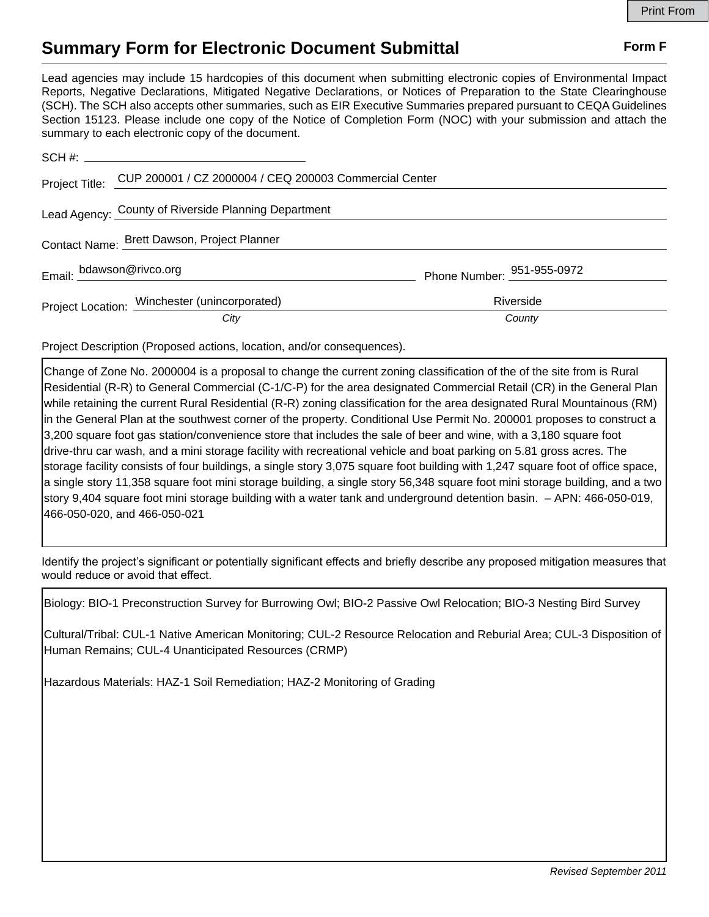## **Summary Form for Electronic Document Submittal Form F Form F**

Lead agencies may include 15 hardcopies of this document when submitting electronic copies of Environmental Impact Reports, Negative Declarations, Mitigated Negative Declarations, or Notices of Preparation to the State Clearinghouse (SCH). The SCH also accepts other summaries, such as EIR Executive Summaries prepared pursuant to CEQA Guidelines Section 15123. Please include one copy of the Notice of Completion Form (NOC) with your submission and attach the summary to each electronic copy of the document.

|                                             | Project Title: CUP 200001 / CZ 2000004 / CEQ 200003 Commercial Center |                            |
|---------------------------------------------|-----------------------------------------------------------------------|----------------------------|
|                                             | Lead Agency: County of Riverside Planning Department                  |                            |
| Contact Name: Brett Dawson, Project Planner |                                                                       |                            |
|                                             | Email: bdawson@rivco.org                                              | Phone Number: 951-955-0972 |
|                                             | Project Location: Winchester (unincorporated)                         | Riverside                  |
|                                             | City                                                                  | County                     |

Project Description (Proposed actions, location, and/or consequences).

Change of Zone No. 2000004 is a proposal to change the current zoning classification of the of the site from is Rural Residential (R-R) to General Commercial (C-1/C-P) for the area designated Commercial Retail (CR) in the General Plan while retaining the current Rural Residential (R-R) zoning classification for the area designated Rural Mountainous (RM) in the General Plan at the southwest corner of the property. Conditional Use Permit No. 200001 proposes to construct a 3,200 square foot gas station/convenience store that includes the sale of beer and wine, with a 3,180 square foot drive-thru car wash, and a mini storage facility with recreational vehicle and boat parking on 5.81 gross acres. The storage facility consists of four buildings, a single story 3,075 square foot building with 1,247 square foot of office space, a single story 11,358 square foot mini storage building, a single story 56,348 square foot mini storage building, and a two story 9,404 square foot mini storage building with a water tank and underground detention basin. – APN: 466-050-019, 466-050-020, and 466-050-021

Identify the project's significant or potentially significant effects and briefly describe any proposed mitigation measures that would reduce or avoid that effect.

Biology: BIO-1 Preconstruction Survey for Burrowing Owl; BIO-2 Passive Owl Relocation; BIO-3 Nesting Bird Survey

Cultural/Tribal: CUL-1 Native American Monitoring; CUL-2 Resource Relocation and Reburial Area; CUL-3 Disposition of Human Remains; CUL-4 Unanticipated Resources (CRMP)

Hazardous Materials: HAZ-1 Soil Remediation; HAZ-2 Monitoring of Grading